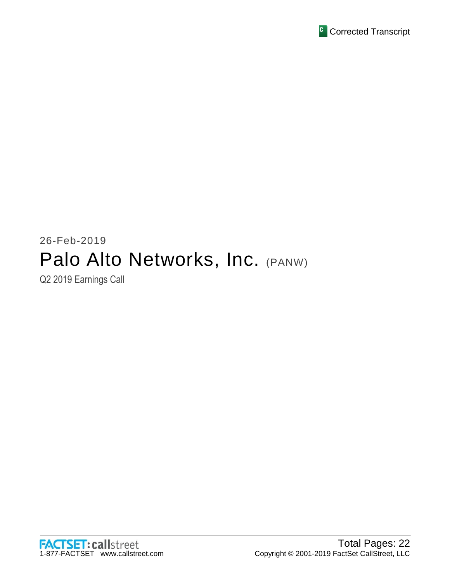

# 26-Feb-2019 Palo Alto Networks, Inc. (PANW)

Q2 2019 Earnings Call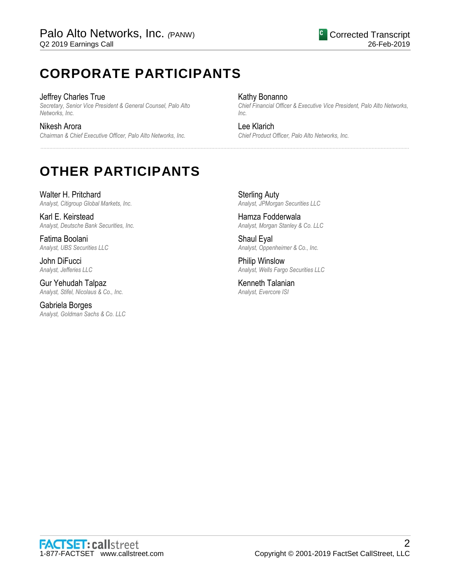# **CORPORATE PARTICIPANTS**

### Jeffrey Charles True

*Secretary, Senior Vice President & General Counsel, Palo Alto Networks, Inc.*

Nikesh Arora *Chairman & Chief Executive Officer, Palo Alto Networks, Inc.*

### Kathy Bonanno

*Chief Financial Officer & Executive Vice President, Palo Alto Networks, Inc.*

### Lee Klarich

......................................................................................................................................................................................................................................................

*Chief Product Officer, Palo Alto Networks, Inc.*

# **OTHER PARTICIPANTS**

Walter H. Pritchard *Analyst, Citigroup Global Markets, Inc.*

Karl E. Keirstead *Analyst, Deutsche Bank Securities, Inc.*

Fatima Boolani *Analyst, UBS Securities LLC*

John DiFucci *Analyst, Jefferies LLC*

Gur Yehudah Talpaz *Analyst, Stifel, Nicolaus & Co., Inc.*

Gabriela Borges *Analyst, Goldman Sachs & Co. LLC*

Sterling Auty *Analyst, JPMorgan Securities LLC*

Hamza Fodderwala *Analyst, Morgan Stanley & Co. LLC*

Shaul Eyal *Analyst, Oppenheimer & Co., Inc.*

Philip Winslow *Analyst, Wells Fargo Securities LLC*

Kenneth Talanian *Analyst, Evercore ISI*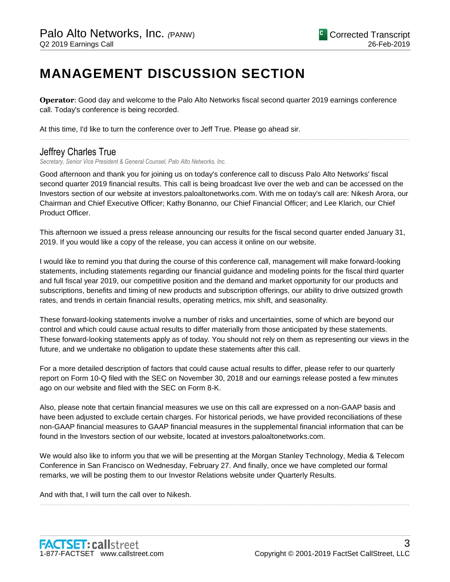# **MANAGEMENT DISCUSSION SECTION**

**Operator**: Good day and welcome to the Palo Alto Networks fiscal second quarter 2019 earnings conference call. Today's conference is being recorded.

At this time, I'd like to turn the conference over to Jeff True. Please go ahead sir.

## Jeffrey Charles True

*Secretary, Senior Vice President & General Counsel, Palo Alto Networks, Inc.*

Good afternoon and thank you for joining us on today's conference call to discuss Palo Alto Networks' fiscal second quarter 2019 financial results. This call is being broadcast live over the web and can be accessed on the Investors section of our website at investors.paloaltonetworks.com. With me on today's call are: Nikesh Arora, our Chairman and Chief Executive Officer; Kathy Bonanno, our Chief Financial Officer; and Lee Klarich, our Chief Product Officer.

......................................................................................................................................................................................................................................................

This afternoon we issued a press release announcing our results for the fiscal second quarter ended January 31, 2019. If you would like a copy of the release, you can access it online on our website.

I would like to remind you that during the course of this conference call, management will make forward-looking statements, including statements regarding our financial guidance and modeling points for the fiscal third quarter and full fiscal year 2019, our competitive position and the demand and market opportunity for our products and subscriptions, benefits and timing of new products and subscription offerings, our ability to drive outsized growth rates, and trends in certain financial results, operating metrics, mix shift, and seasonality.

These forward-looking statements involve a number of risks and uncertainties, some of which are beyond our control and which could cause actual results to differ materially from those anticipated by these statements. These forward-looking statements apply as of today. You should not rely on them as representing our views in the future, and we undertake no obligation to update these statements after this call.

For a more detailed description of factors that could cause actual results to differ, please refer to our quarterly report on Form 10-Q filed with the SEC on November 30, 2018 and our earnings release posted a few minutes ago on our website and filed with the SEC on Form 8-K.

Also, please note that certain financial measures we use on this call are expressed on a non-GAAP basis and have been adjusted to exclude certain charges. For historical periods, we have provided reconciliations of these non-GAAP financial measures to GAAP financial measures in the supplemental financial information that can be found in the Investors section of our website, located at investors.paloaltonetworks.com.

We would also like to inform you that we will be presenting at the Morgan Stanley Technology, Media & Telecom Conference in San Francisco on Wednesday, February 27. And finally, once we have completed our formal remarks, we will be posting them to our Investor Relations website under Quarterly Results.

......................................................................................................................................................................................................................................................

And with that, I will turn the call over to Nikesh.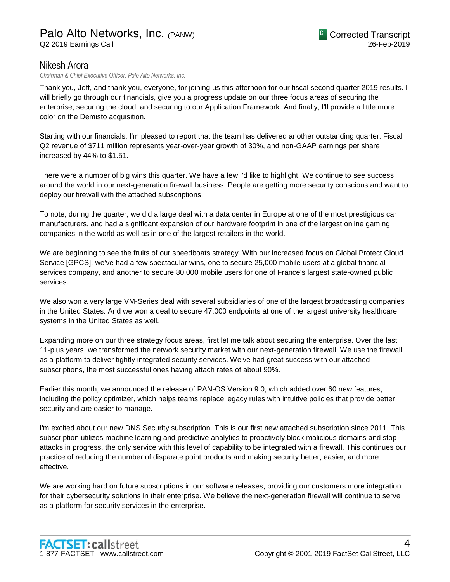## Nikesh Arora

*Chairman & Chief Executive Officer, Palo Alto Networks, Inc.*

Thank you, Jeff, and thank you, everyone, for joining us this afternoon for our fiscal second quarter 2019 results. I will briefly go through our financials, give you a progress update on our three focus areas of securing the enterprise, securing the cloud, and securing to our Application Framework. And finally, I'll provide a little more color on the Demisto acquisition.

Starting with our financials, I'm pleased to report that the team has delivered another outstanding quarter. Fiscal Q2 revenue of \$711 million represents year-over-year growth of 30%, and non-GAAP earnings per share increased by 44% to \$1.51.

There were a number of big wins this quarter. We have a few I'd like to highlight. We continue to see success around the world in our next-generation firewall business. People are getting more security conscious and want to deploy our firewall with the attached subscriptions.

To note, during the quarter, we did a large deal with a data center in Europe at one of the most prestigious car manufacturers, and had a significant expansion of our hardware footprint in one of the largest online gaming companies in the world as well as in one of the largest retailers in the world.

We are beginning to see the fruits of our speedboats strategy. With our increased focus on Global Protect Cloud Service [GPCS], we've had a few spectacular wins, one to secure 25,000 mobile users at a global financial services company, and another to secure 80,000 mobile users for one of France's largest state-owned public services.

We also won a very large VM-Series deal with several subsidiaries of one of the largest broadcasting companies in the United States. And we won a deal to secure 47,000 endpoints at one of the largest university healthcare systems in the United States as well.

Expanding more on our three strategy focus areas, first let me talk about securing the enterprise. Over the last 11-plus years, we transformed the network security market with our next-generation firewall. We use the firewall as a platform to deliver tightly integrated security services. We've had great success with our attached subscriptions, the most successful ones having attach rates of about 90%.

Earlier this month, we announced the release of PAN-OS Version 9.0, which added over 60 new features, including the policy optimizer, which helps teams replace legacy rules with intuitive policies that provide better security and are easier to manage.

I'm excited about our new DNS Security subscription. This is our first new attached subscription since 2011. This subscription utilizes machine learning and predictive analytics to proactively block malicious domains and stop attacks in progress, the only service with this level of capability to be integrated with a firewall. This continues our practice of reducing the number of disparate point products and making security better, easier, and more effective.

We are working hard on future subscriptions in our software releases, providing our customers more integration for their cybersecurity solutions in their enterprise. We believe the next-generation firewall will continue to serve as a platform for security services in the enterprise.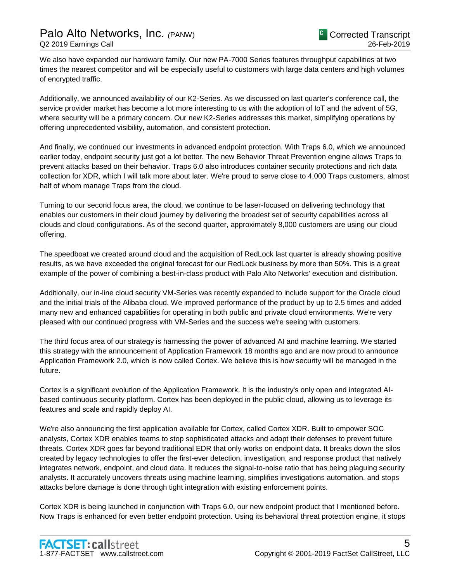We also have expanded our hardware family. Our new PA-7000 Series features throughput capabilities at two times the nearest competitor and will be especially useful to customers with large data centers and high volumes of encrypted traffic.

Additionally, we announced availability of our K2-Series. As we discussed on last quarter's conference call, the service provider market has become a lot more interesting to us with the adoption of IoT and the advent of 5G, where security will be a primary concern. Our new K2-Series addresses this market, simplifying operations by offering unprecedented visibility, automation, and consistent protection.

And finally, we continued our investments in advanced endpoint protection. With Traps 6.0, which we announced earlier today, endpoint security just got a lot better. The new Behavior Threat Prevention engine allows Traps to prevent attacks based on their behavior. Traps 6.0 also introduces container security protections and rich data collection for XDR, which I will talk more about later. We're proud to serve close to 4,000 Traps customers, almost half of whom manage Traps from the cloud.

Turning to our second focus area, the cloud, we continue to be laser-focused on delivering technology that enables our customers in their cloud journey by delivering the broadest set of security capabilities across all clouds and cloud configurations. As of the second quarter, approximately 8,000 customers are using our cloud offering.

The speedboat we created around cloud and the acquisition of RedLock last quarter is already showing positive results, as we have exceeded the original forecast for our RedLock business by more than 50%. This is a great example of the power of combining a best-in-class product with Palo Alto Networks' execution and distribution.

Additionally, our in-line cloud security VM-Series was recently expanded to include support for the Oracle cloud and the initial trials of the Alibaba cloud. We improved performance of the product by up to 2.5 times and added many new and enhanced capabilities for operating in both public and private cloud environments. We're very pleased with our continued progress with VM-Series and the success we're seeing with customers.

The third focus area of our strategy is harnessing the power of advanced AI and machine learning. We started this strategy with the announcement of Application Framework 18 months ago and are now proud to announce Application Framework 2.0, which is now called Cortex. We believe this is how security will be managed in the future.

Cortex is a significant evolution of the Application Framework. It is the industry's only open and integrated AIbased continuous security platform. Cortex has been deployed in the public cloud, allowing us to leverage its features and scale and rapidly deploy AI.

We're also announcing the first application available for Cortex, called Cortex XDR. Built to empower SOC analysts, Cortex XDR enables teams to stop sophisticated attacks and adapt their defenses to prevent future threats. Cortex XDR goes far beyond traditional EDR that only works on endpoint data. It breaks down the silos created by legacy technologies to offer the first-ever detection, investigation, and response product that natively integrates network, endpoint, and cloud data. It reduces the signal-to-noise ratio that has being plaguing security analysts. It accurately uncovers threats using machine learning, simplifies investigations automation, and stops attacks before damage is done through tight integration with existing enforcement points.

Cortex XDR is being launched in conjunction with Traps 6.0, our new endpoint product that I mentioned before. Now Traps is enhanced for even better endpoint protection. Using its behavioral threat protection engine, it stops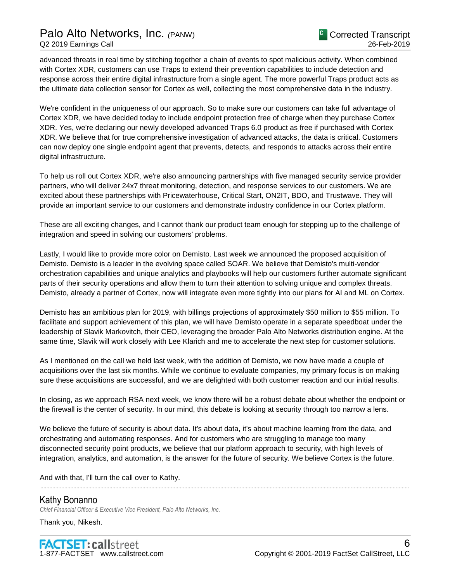## Palo Alto Networks, Inc. *(*PANW) Q2 2019 Earnings Call

advanced threats in real time by stitching together a chain of events to spot malicious activity. When combined with Cortex XDR, customers can use Traps to extend their prevention capabilities to include detection and response across their entire digital infrastructure from a single agent. The more powerful Traps product acts as the ultimate data collection sensor for Cortex as well, collecting the most comprehensive data in the industry.

We're confident in the uniqueness of our approach. So to make sure our customers can take full advantage of Cortex XDR, we have decided today to include endpoint protection free of charge when they purchase Cortex XDR. Yes, we're declaring our newly developed advanced Traps 6.0 product as free if purchased with Cortex XDR. We believe that for true comprehensive investigation of advanced attacks, the data is critical. Customers can now deploy one single endpoint agent that prevents, detects, and responds to attacks across their entire digital infrastructure.

To help us roll out Cortex XDR, we're also announcing partnerships with five managed security service provider partners, who will deliver 24x7 threat monitoring, detection, and response services to our customers. We are excited about these partnerships with Pricewaterhouse, Critical Start, ON2IT, BDO, and Trustwave. They will provide an important service to our customers and demonstrate industry confidence in our Cortex platform.

These are all exciting changes, and I cannot thank our product team enough for stepping up to the challenge of integration and speed in solving our customers' problems.

Lastly, I would like to provide more color on Demisto. Last week we announced the proposed acquisition of Demisto. Demisto is a leader in the evolving space called SOAR. We believe that Demisto's multi-vendor orchestration capabilities and unique analytics and playbooks will help our customers further automate significant parts of their security operations and allow them to turn their attention to solving unique and complex threats. Demisto, already a partner of Cortex, now will integrate even more tightly into our plans for AI and ML on Cortex.

Demisto has an ambitious plan for 2019, with billings projections of approximately \$50 million to \$55 million. To facilitate and support achievement of this plan, we will have Demisto operate in a separate speedboat under the leadership of Slavik Markovitch, their CEO, leveraging the broader Palo Alto Networks distribution engine. At the same time, Slavik will work closely with Lee Klarich and me to accelerate the next step for customer solutions.

As I mentioned on the call we held last week, with the addition of Demisto, we now have made a couple of acquisitions over the last six months. While we continue to evaluate companies, my primary focus is on making sure these acquisitions are successful, and we are delighted with both customer reaction and our initial results.

In closing, as we approach RSA next week, we know there will be a robust debate about whether the endpoint or the firewall is the center of security. In our mind, this debate is looking at security through too narrow a lens.

We believe the future of security is about data. It's about data, it's about machine learning from the data, and orchestrating and automating responses. And for customers who are struggling to manage too many disconnected security point products, we believe that our platform approach to security, with high levels of integration, analytics, and automation, is the answer for the future of security. We believe Cortex is the future.

......................................................................................................................................................................................................................................................

And with that, I'll turn the call over to Kathy.

### Kathy Bonanno

*Chief Financial Officer & Executive Vice President, Palo Alto Networks, Inc.*

Thank you, Nikesh.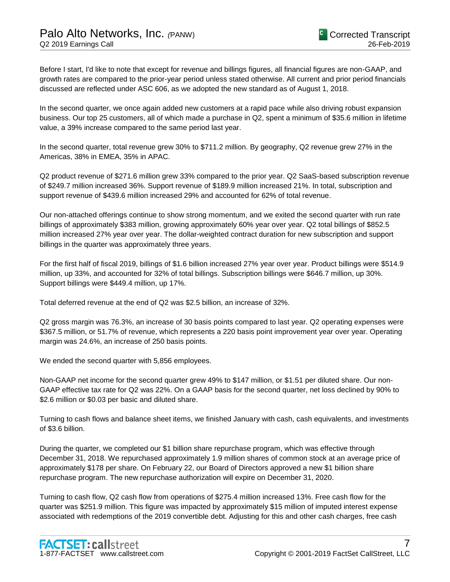Before I start, I'd like to note that except for revenue and billings figures, all financial figures are non-GAAP, and growth rates are compared to the prior-year period unless stated otherwise. All current and prior period financials discussed are reflected under ASC 606, as we adopted the new standard as of August 1, 2018.

In the second quarter, we once again added new customers at a rapid pace while also driving robust expansion business. Our top 25 customers, all of which made a purchase in Q2, spent a minimum of \$35.6 million in lifetime value, a 39% increase compared to the same period last year.

In the second quarter, total revenue grew 30% to \$711.2 million. By geography, Q2 revenue grew 27% in the Americas, 38% in EMEA, 35% in APAC.

Q2 product revenue of \$271.6 million grew 33% compared to the prior year. Q2 SaaS-based subscription revenue of \$249.7 million increased 36%. Support revenue of \$189.9 million increased 21%. In total, subscription and support revenue of \$439.6 million increased 29% and accounted for 62% of total revenue.

Our non-attached offerings continue to show strong momentum, and we exited the second quarter with run rate billings of approximately \$383 million, growing approximately 60% year over year. Q2 total billings of \$852.5 million increased 27% year over year. The dollar-weighted contract duration for new subscription and support billings in the quarter was approximately three years.

For the first half of fiscal 2019, billings of \$1.6 billion increased 27% year over year. Product billings were \$514.9 million, up 33%, and accounted for 32% of total billings. Subscription billings were \$646.7 million, up 30%. Support billings were \$449.4 million, up 17%.

Total deferred revenue at the end of Q2 was \$2.5 billion, an increase of 32%.

Q2 gross margin was 76.3%, an increase of 30 basis points compared to last year. Q2 operating expenses were \$367.5 million, or 51.7% of revenue, which represents a 220 basis point improvement year over year. Operating margin was 24.6%, an increase of 250 basis points.

We ended the second quarter with 5,856 employees.

Non-GAAP net income for the second quarter grew 49% to \$147 million, or \$1.51 per diluted share. Our non-GAAP effective tax rate for Q2 was 22%. On a GAAP basis for the second quarter, net loss declined by 90% to \$2.6 million or \$0.03 per basic and diluted share.

Turning to cash flows and balance sheet items, we finished January with cash, cash equivalents, and investments of \$3.6 billion.

During the quarter, we completed our \$1 billion share repurchase program, which was effective through December 31, 2018. We repurchased approximately 1.9 million shares of common stock at an average price of approximately \$178 per share. On February 22, our Board of Directors approved a new \$1 billion share repurchase program. The new repurchase authorization will expire on December 31, 2020.

Turning to cash flow, Q2 cash flow from operations of \$275.4 million increased 13%. Free cash flow for the quarter was \$251.9 million. This figure was impacted by approximately \$15 million of imputed interest expense associated with redemptions of the 2019 convertible debt. Adjusting for this and other cash charges, free cash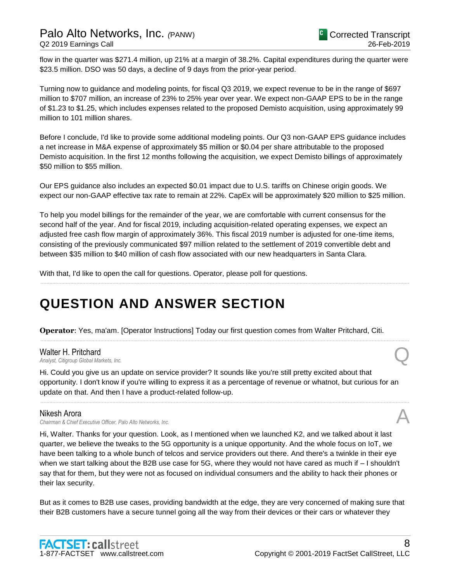flow in the quarter was \$271.4 million, up 21% at a margin of 38.2%. Capital expenditures during the quarter were \$23.5 million. DSO was 50 days, a decline of 9 days from the prior-year period.

Turning now to guidance and modeling points, for fiscal Q3 2019, we expect revenue to be in the range of \$697 million to \$707 million, an increase of 23% to 25% year over year. We expect non-GAAP EPS to be in the range of \$1.23 to \$1.25, which includes expenses related to the proposed Demisto acquisition, using approximately 99 million to 101 million shares.

Before I conclude, I'd like to provide some additional modeling points. Our Q3 non-GAAP EPS guidance includes a net increase in M&A expense of approximately \$5 million or \$0.04 per share attributable to the proposed Demisto acquisition. In the first 12 months following the acquisition, we expect Demisto billings of approximately \$50 million to \$55 million.

Our EPS guidance also includes an expected \$0.01 impact due to U.S. tariffs on Chinese origin goods. We expect our non-GAAP effective tax rate to remain at 22%. CapEx will be approximately \$20 million to \$25 million.

To help you model billings for the remainder of the year, we are comfortable with current consensus for the second half of the year. And for fiscal 2019, including acquisition-related operating expenses, we expect an adjusted free cash flow margin of approximately 36%. This fiscal 2019 number is adjusted for one-time items, consisting of the previously communicated \$97 million related to the settlement of 2019 convertible debt and between \$35 million to \$40 million of cash flow associated with our new headquarters in Santa Clara.

......................................................................................................................................................................................................................................................

......................................................................................................................................................................................................................................................

With that, I'd like to open the call for questions. Operator, please poll for questions.

# **QUESTION AND ANSWER SECTION**

**Operator**: Yes, ma'am. [Operator Instructions] Today our first question comes from Walter Pritchard, Citi.

### Walter H. Pritchard *Analyst, Citigroup Global Markets, Inc.* Q

Hi. Could you give us an update on service provider? It sounds like you're still pretty excited about that opportunity. I don't know if you're willing to express it as a percentage of revenue or whatnot, but curious for an update on that. And then I have a product-related follow-up.

......................................................................................................................................................................................................................................................

### Nikesh Arora

*Chairman & Chief Executive Officer, Palo Alto Networks, Inc.* A

Hi, Walter. Thanks for your question. Look, as I mentioned when we launched K2, and we talked about it last quarter, we believe the tweaks to the 5G opportunity is a unique opportunity. And the whole focus on IoT, we have been talking to a whole bunch of telcos and service providers out there. And there's a twinkle in their eye when we start talking about the B2B use case for 5G, where they would not have cared as much if – I shouldn't say that for them, but they were not as focused on individual consumers and the ability to hack their phones or their lax security.

But as it comes to B2B use cases, providing bandwidth at the edge, they are very concerned of making sure that their B2B customers have a secure tunnel going all the way from their devices or their cars or whatever they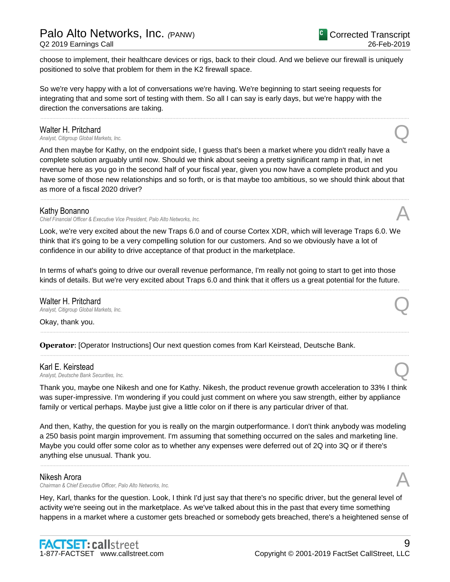Q2 2019 Earnings Call

choose to implement, their healthcare devices or rigs, back to their cloud. And we believe our firewall is uniquely positioned to solve that problem for them in the K2 firewall space.

So we're very happy with a lot of conversations we're having. We're beginning to start seeing requests for integrating that and some sort of testing with them. So all I can say is early days, but we're happy with the direction the conversations are taking.

### Walter H. Pritchard

*Analyst, Citigroup Global Markets, Inc.* Q

And then maybe for Kathy, on the endpoint side, I guess that's been a market where you didn't really have a complete solution arguably until now. Should we think about seeing a pretty significant ramp in that, in net revenue here as you go in the second half of your fiscal year, given you now have a complete product and you have some of those new relationships and so forth, or is that maybe too ambitious, so we should think about that as more of a fiscal 2020 driver?

......................................................................................................................................................................................................................................................

......................................................................................................................................................................................................................................................

### Kathy Bonanno

*Chief Financial Officer & Executive Vice President, Palo Alto Networks, Inc.* A

Look, we're very excited about the new Traps 6.0 and of course Cortex XDR, which will leverage Traps 6.0. We think that it's going to be a very compelling solution for our customers. And so we obviously have a lot of confidence in our ability to drive acceptance of that product in the marketplace.

In terms of what's going to drive our overall revenue performance, I'm really not going to start to get into those kinds of details. But we're very excited about Traps 6.0 and think that it offers us a great potential for the future.

......................................................................................................................................................................................................................................................

......................................................................................................................................................................................................................................................

......................................................................................................................................................................................................................................................

### Walter H. Pritchard

*Analyst, Citigroup Global Markets, Inc.* Q

Okay, thank you.

**Operator**: [Operator Instructions] Our next question comes from Karl Keirstead, Deutsche Bank.

### Karl E. Keirstead

*Analyst, Deutsche Bank Securities, Inc.* Q

Thank you, maybe one Nikesh and one for Kathy. Nikesh, the product revenue growth acceleration to 33% I think was super-impressive. I'm wondering if you could just comment on where you saw strength, either by appliance family or vertical perhaps. Maybe just give a little color on if there is any particular driver of that.

And then, Kathy, the question for you is really on the margin outperformance. I don't think anybody was modeling a 250 basis point margin improvement. I'm assuming that something occurred on the sales and marketing line. Maybe you could offer some color as to whether any expenses were deferred out of 2Q into 3Q or if there's anything else unusual. Thank you.

......................................................................................................................................................................................................................................................

### Nikesh Arora

*Chairman & Chief Executive Officer, Palo Alto Networks, Inc.* A

Hey, Karl, thanks for the question. Look, I think I'd just say that there's no specific driver, but the general level of activity we're seeing out in the marketplace. As we've talked about this in the past that every time something happens in a market where a customer gets breached or somebody gets breached, there's a heightened sense of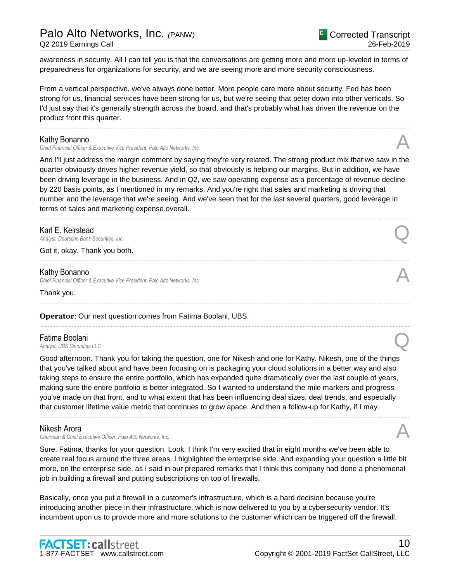awareness in security. All I can tell you is that the conversations are getting more and more up-leveled in terms of preparedness for organizations for security, and we are seeing more and more security consciousness.

From a vertical perspective, we've always done better. More people care more about security. Fed has been strong for us, financial services have been strong for us, but we're seeing that peter down into other verticals. So I'd just say that it's generally strength across the board, and that's probably what has driven the revenue on the product front this quarter.

......................................................................................................................................................................................................................................................

### Kathy Bonanno

*Chief Financial Officer & Executive Vice President, Palo Alto Networks, Inc.* A

And I'll just address the margin comment by saying they're very related. The strong product mix that we saw in the quarter obviously drives higher revenue yield, so that obviously is helping our margins. But in addition, we have been driving leverage in the business. And in Q2, we saw operating expense as a percentage of revenue decline by 220 basis points, as I mentioned in my remarks. And you're right that sales and marketing is driving that number and the leverage that we're seeing. And we've seen that for the last several quarters, good leverage in terms of sales and marketing expense overall.

......................................................................................................................................................................................................................................................

......................................................................................................................................................................................................................................................

......................................................................................................................................................................................................................................................

......................................................................................................................................................................................................................................................

**Karl E. Keirstead**<br>Analyst, Deutsche Bank Securities, Inc. *Analyst, Deutsche Bank Securities, Inc.* Q

Got it, okay. Thank you both.

### Kathy Bonanno

*Chief Financial Officer & Executive Vice President, Palo Alto Networks, Inc.* A

Thank you.

### **Operator**: Our next question comes from Fatima Boolani, UBS.

### Fatima Boolani

**Fatima Boolani**<br>Analyst, UBS Securities LLC

Good afternoon. Thank you for taking the question, one for Nikesh and one for Kathy. Nikesh, one of the things that you've talked about and have been focusing on is packaging your cloud solutions in a better way and also taking steps to ensure the entire portfolio, which has expanded quite dramatically over the last couple of years, making sure the entire portfolio is better integrated. So I wanted to understand the mile markers and progress you've made on that front, and to what extent that has been influencing deal sizes, deal trends, and especially that customer lifetime value metric that continues to grow apace. And then a follow-up for Kathy, if I may.

### Nikesh Arora

*Chairman & Chief Executive Officer, Palo Alto Networks, Inc.* A

Sure, Fatima, thanks for your question. Look, I think I'm very excited that in eight months we've been able to create real focus around the three areas. I highlighted the enterprise side. And expanding your question a little bit more, on the enterprise side, as I said in our prepared remarks that I think this company had done a phenomenal job in building a firewall and putting subscriptions on top of firewalls.

......................................................................................................................................................................................................................................................

Basically, once you put a firewall in a customer's infrastructure, which is a hard decision because you're introducing another piece in their infrastructure, which is now delivered to you by a cybersecurity vendor. It's incumbent upon us to provide more and more solutions to the customer which can be triggered off the firewall.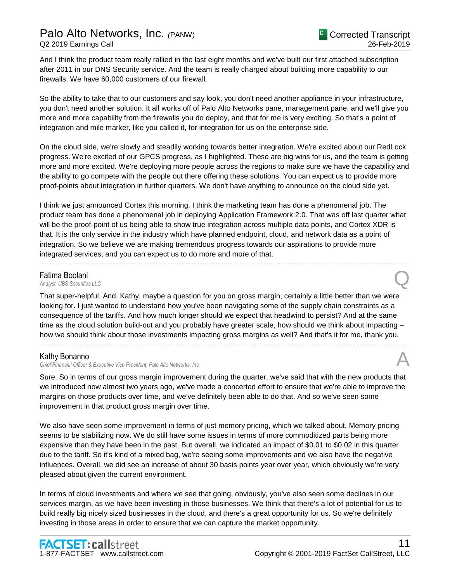And I think the product team really rallied in the last eight months and we've built our first attached subscription after 2011 in our DNS Security service. And the team is really charged about building more capability to our firewalls. We have 60,000 customers of our firewall.

So the ability to take that to our customers and say look, you don't need another appliance in your infrastructure, you don't need another solution. It all works off of Palo Alto Networks pane, management pane, and we'll give you more and more capability from the firewalls you do deploy, and that for me is very exciting. So that's a point of integration and mile marker, like you called it, for integration for us on the enterprise side.

On the cloud side, we're slowly and steadily working towards better integration. We're excited about our RedLock progress. We're excited of our GPCS progress, as I highlighted. These are big wins for us, and the team is getting more and more excited. We're deploying more people across the regions to make sure we have the capability and the ability to go compete with the people out there offering these solutions. You can expect us to provide more proof-points about integration in further quarters. We don't have anything to announce on the cloud side yet.

I think we just announced Cortex this morning. I think the marketing team has done a phenomenal job. The product team has done a phenomenal job in deploying Application Framework 2.0. That was off last quarter what will be the proof-point of us being able to show true integration across multiple data points, and Cortex XDR is that. It is the only service in the industry which have planned endpoint, cloud, and network data as a point of integration. So we believe we are making tremendous progress towards our aspirations to provide more integrated services, and you can expect us to do more and more of that.

......................................................................................................................................................................................................................................................

Fatima Boolani<br>Analyst, UBS Securities LLC **Fatima Boolani**<br>Analyst, UBS Securities LLC

That super-helpful. And, Kathy, maybe a question for you on gross margin, certainly a little better than we were looking for. I just wanted to understand how you've been navigating some of the supply chain constraints as a consequence of the tariffs. And how much longer should we expect that headwind to persist? And at the same time as the cloud solution build-out and you probably have greater scale, how should we think about impacting – how we should think about those investments impacting gross margins as well? And that's it for me, thank you.

......................................................................................................................................................................................................................................................

### Kathy Bonanno

*Chief Financial Officer & Executive Vice President, Palo Alto Networks, Inc.* A

Sure. So in terms of our gross margin improvement during the quarter, we've said that with the new products that we introduced now almost two years ago, we've made a concerted effort to ensure that we're able to improve the margins on those products over time, and we've definitely been able to do that. And so we've seen some improvement in that product gross margin over time.

We also have seen some improvement in terms of just memory pricing, which we talked about. Memory pricing seems to be stabilizing now. We do still have some issues in terms of more commoditized parts being more expensive than they have been in the past. But overall, we indicated an impact of \$0.01 to \$0.02 in this quarter due to the tariff. So it's kind of a mixed bag, we're seeing some improvements and we also have the negative influences. Overall, we did see an increase of about 30 basis points year over year, which obviously we're very pleased about given the current environment.

In terms of cloud investments and where we see that going, obviously, you've also seen some declines in our services margin, as we have been investing in those businesses. We think that there's a lot of potential for us to build really big nicely sized businesses in the cloud, and there's a great opportunity for us. So we're definitely investing in those areas in order to ensure that we can capture the market opportunity.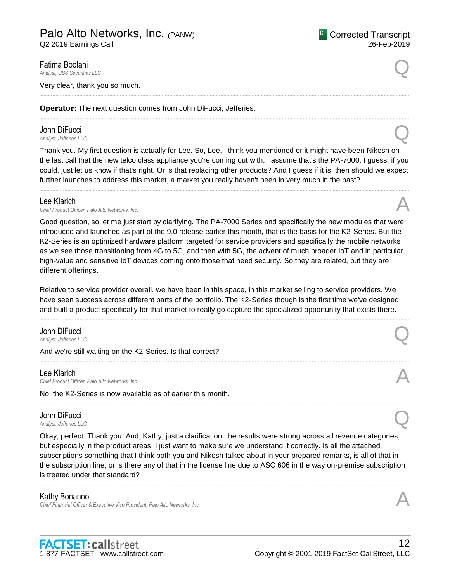### Fatima Boolani

**Fatima Boolani**<br>Analyst, UBS Securities LLC

Very clear, thank you so much.

**Operator**: The next question comes from John DiFucci, Jefferies.

## **John DiFucci**<br>Analyst, Jefferies LLC

*Analyst, Jefferies LLC* Q

Thank you. My first question is actually for Lee. So, Lee, I think you mentioned or it might have been Nikesh on the last call that the new telco class appliance you're coming out with, I assume that's the PA-7000. I guess, if you could, just let us know if that's right. Or is that replacing other products? And I guess if it is, then should we expect further launches to address this market, a market you really haven't been in very much in the past?

......................................................................................................................................................................................................................................................

......................................................................................................................................................................................................................................................

......................................................................................................................................................................................................................................................

Lee Klarich<br>Chief Product Officer, Palo Alto Networks, Inc. Lee Klarich<br>Chief Product Officer, Palo Alto Networks, Inc.

Good question, so let me just start by clarifying. The PA-7000 Series and specifically the new modules that were introduced and launched as part of the 9.0 release earlier this month, that is the basis for the K2-Series. But the K2-Series is an optimized hardware platform targeted for service providers and specifically the mobile networks as we see those transitioning from 4G to 5G, and then with 5G, the advent of much broader IoT and in particular high-value and sensitive IoT devices coming onto those that need security. So they are related, but they are different offerings.

Relative to service provider overall, we have been in this space, in this market selling to service providers. We have seen success across different parts of the portfolio. The K2-Series though is the first time we've designed and built a product specifically for that market to really go capture the specialized opportunity that exists there.

......................................................................................................................................................................................................................................................

......................................................................................................................................................................................................................................................

......................................................................................................................................................................................................................................................

### **John DiFucci**<br>Analyst, Jefferies LLC *Analyst, Jefferies LLC* Q

And we're still waiting on the K2-Series. Is that correct?

### Lee Klarich

Lee Klarich<br>Chief Product Officer, Palo Alto Networks, Inc.

No, the K2-Series is now available as of earlier this month.

### **John DiFucci**<br>Analyst, Jefferies LLC *Analyst, Jefferies LLC* Q

Okay, perfect. Thank you. And, Kathy, just a clarification, the results were strong across all revenue categories, but especially in the product areas. I just want to make sure we understand it correctly. Is all the attached subscriptions something that I think both you and Nikesh talked about in your prepared remarks, is all of that in the subscription line, or is there any of that in the license line due to ASC 606 in the way on-premise subscription is treated under that standard?

......................................................................................................................................................................................................................................................

### Kathy Bonanno

*Chief Financial Officer & Executive Vice President, Palo Alto Networks, Inc.* A

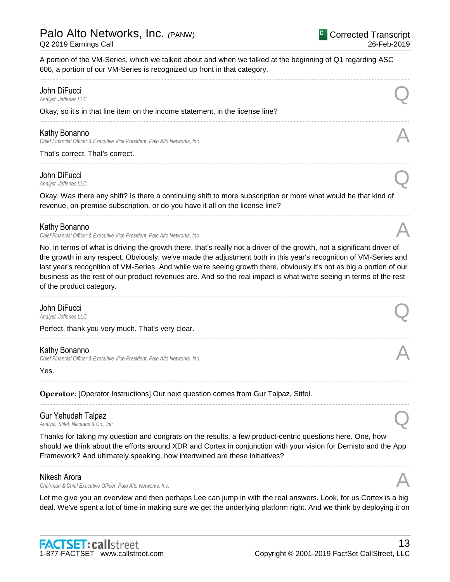A portion of the VM-Series, which we talked about and when we talked at the beginning of Q1 regarding ASC 606, a portion of our VM-Series is recognized up front in that category.

### ...................................................................................................................................................................................................................................................... John DiFucci *Analyst, Jefferies LLC* Q Okay, so it's in that line item on the income statement, in the license line? ...................................................................................................................................................................................................................................................... Kathy Bonanno *Chief Financial Officer & Executive Vice President, Palo Alto Networks, Inc.* A That's correct. That's correct. ...................................................................................................................................................................................................................................................... John DiFucci *Analyst, Jefferies LLC* Q Okay. Was there any shift? Is there a continuing shift to more subscription or more what would be that kind of revenue, on-premise subscription, or do you have it all on the license line? ......................................................................................................................................................................................................................................................

### Kathy Bonanno

*Chief Financial Officer & Executive Vice President, Palo Alto Networks, Inc.* A

No, in terms of what is driving the growth there, that's really not a driver of the growth, not a significant driver of the growth in any respect. Obviously, we've made the adjustment both in this year's recognition of VM-Series and last year's recognition of VM-Series. And while we're seeing growth there, obviously it's not as big a portion of our business as the rest of our product revenues are. And so the real impact is what we're seeing in terms of the rest of the product category.

......................................................................................................................................................................................................................................................

......................................................................................................................................................................................................................................................

......................................................................................................................................................................................................................................................

......................................................................................................................................................................................................................................................

# *Analyst, Jefferies LLC* Q

**John DiFucci**<br>Analyst, Jefferies LLC

Perfect, thank you very much. That's very clear.

### Kathy Bonanno

*Chief Financial Officer & Executive Vice President, Palo Alto Networks, Inc.* A

Yes.

**Operator**: [Operator Instructions] Our next question comes from Gur Talpaz, Stifel.

### Gur Yehudah Talpaz *Analyst, Stifel, Nicolaus & Co., Inc.* Q

Thanks for taking my question and congrats on the results, a few product-centric questions here. One, how should we think about the efforts around XDR and Cortex in conjunction with your vision for Demisto and the App Framework? And ultimately speaking, how intertwined are these initiatives?

......................................................................................................................................................................................................................................................

### Nikesh Arora

*Chairman & Chief Executive Officer, Palo Alto Networks, Inc.* A

Let me give you an overview and then perhaps Lee can jump in with the real answers. Look, for us Cortex is a big deal. We've spent a lot of time in making sure we get the underlying platform right. And we think by deploying it on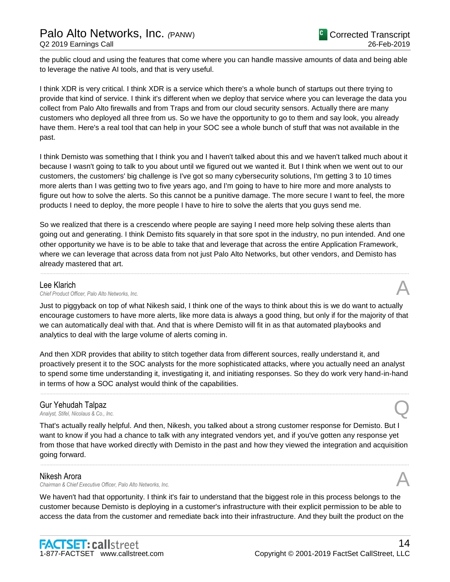the public cloud and using the features that come where you can handle massive amounts of data and being able to leverage the native AI tools, and that is very useful.

I think XDR is very critical. I think XDR is a service which there's a whole bunch of startups out there trying to provide that kind of service. I think it's different when we deploy that service where you can leverage the data you collect from Palo Alto firewalls and from Traps and from our cloud security sensors. Actually there are many customers who deployed all three from us. So we have the opportunity to go to them and say look, you already have them. Here's a real tool that can help in your SOC see a whole bunch of stuff that was not available in the past.

I think Demisto was something that I think you and I haven't talked about this and we haven't talked much about it because I wasn't going to talk to you about until we figured out we wanted it. But I think when we went out to our customers, the customers' big challenge is I've got so many cybersecurity solutions, I'm getting 3 to 10 times more alerts than I was getting two to five years ago, and I'm going to have to hire more and more analysts to figure out how to solve the alerts. So this cannot be a punitive damage. The more secure I want to feel, the more products I need to deploy, the more people I have to hire to solve the alerts that you guys send me.

So we realized that there is a crescendo where people are saying I need more help solving these alerts than going out and generating. I think Demisto fits squarely in that sore spot in the industry, no pun intended. And one other opportunity we have is to be able to take that and leverage that across the entire Application Framework, where we can leverage that across data from not just Palo Alto Networks, but other vendors, and Demisto has already mastered that art.

......................................................................................................................................................................................................................................................

### Lee Klarich

Lee Klarich<br>Chief Product Officer, Palo Alto Networks, Inc.

Just to piggyback on top of what Nikesh said, I think one of the ways to think about this is we do want to actually encourage customers to have more alerts, like more data is always a good thing, but only if for the majority of that we can automatically deal with that. And that is where Demisto will fit in as that automated playbooks and analytics to deal with the large volume of alerts coming in.

And then XDR provides that ability to stitch together data from different sources, really understand it, and proactively present it to the SOC analysts for the more sophisticated attacks, where you actually need an analyst to spend some time understanding it, investigating it, and initiating responses. So they do work very hand-in-hand in terms of how a SOC analyst would think of the capabilities.

......................................................................................................................................................................................................................................................

### Gur Yehudah Talpaz *Analyst, Stifel, Nicolaus & Co., Inc.* Q

That's actually really helpful. And then, Nikesh, you talked about a strong customer response for Demisto. But I want to know if you had a chance to talk with any integrated vendors yet, and if you've gotten any response yet from those that have worked directly with Demisto in the past and how they viewed the integration and acquisition going forward.

......................................................................................................................................................................................................................................................

### Nikesh Arora

*Chairman & Chief Executive Officer, Palo Alto Networks, Inc.* A

We haven't had that opportunity. I think it's fair to understand that the biggest role in this process belongs to the customer because Demisto is deploying in a customer's infrastructure with their explicit permission to be able to access the data from the customer and remediate back into their infrastructure. And they built the product on the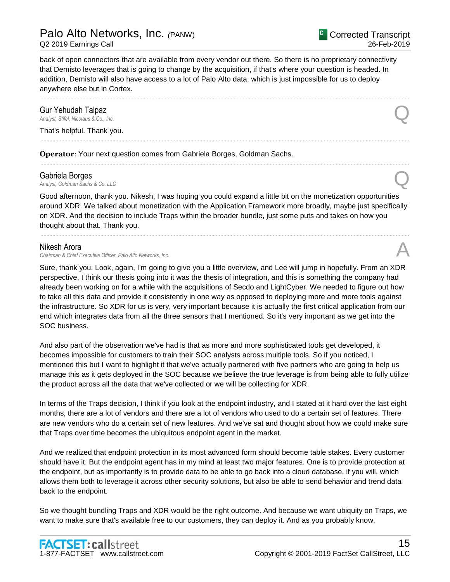back of open connectors that are available from every vendor out there. So there is no proprietary connectivity that Demisto leverages that is going to change by the acquisition, if that's where your question is headed. In addition, Demisto will also have access to a lot of Palo Alto data, which is just impossible for us to deploy anywhere else but in Cortex.

......................................................................................................................................................................................................................................................

......................................................................................................................................................................................................................................................

......................................................................................................................................................................................................................................................

# *Analyst, Stifel, Nicolaus & Co., Inc.* Q

**Gur Yehudah Talpaz**<br>Analyst, Stifel, Nicolaus & Co., Inc.

That's helpful. Thank you.

**Operator**: Your next question comes from Gabriela Borges, Goldman Sachs.

### Gabriela Borges

**Gabriela Borges**<br>Analyst, Goldman Sachs & Co. LLC

Good afternoon, thank you. Nikesh, I was hoping you could expand a little bit on the monetization opportunities around XDR. We talked about monetization with the Application Framework more broadly, maybe just specifically on XDR. And the decision to include Traps within the broader bundle, just some puts and takes on how you thought about that. Thank you.

......................................................................................................................................................................................................................................................

### Nikesh Arora

*Chairman & Chief Executive Officer, Palo Alto Networks, Inc.* A

Sure, thank you. Look, again, I'm going to give you a little overview, and Lee will jump in hopefully. From an XDR perspective, I think our thesis going into it was the thesis of integration, and this is something the company had already been working on for a while with the acquisitions of Secdo and LightCyber. We needed to figure out how to take all this data and provide it consistently in one way as opposed to deploying more and more tools against the infrastructure. So XDR for us is very, very important because it is actually the first critical application from our end which integrates data from all the three sensors that I mentioned. So it's very important as we get into the SOC business.

And also part of the observation we've had is that as more and more sophisticated tools get developed, it becomes impossible for customers to train their SOC analysts across multiple tools. So if you noticed, I mentioned this but I want to highlight it that we've actually partnered with five partners who are going to help us manage this as it gets deployed in the SOC because we believe the true leverage is from being able to fully utilize the product across all the data that we've collected or we will be collecting for XDR.

In terms of the Traps decision, I think if you look at the endpoint industry, and I stated at it hard over the last eight months, there are a lot of vendors and there are a lot of vendors who used to do a certain set of features. There are new vendors who do a certain set of new features. And we've sat and thought about how we could make sure that Traps over time becomes the ubiquitous endpoint agent in the market.

And we realized that endpoint protection in its most advanced form should become table stakes. Every customer should have it. But the endpoint agent has in my mind at least two major features. One is to provide protection at the endpoint, but as importantly is to provide data to be able to go back into a cloud database, if you will, which allows them both to leverage it across other security solutions, but also be able to send behavior and trend data back to the endpoint.

So we thought bundling Traps and XDR would be the right outcome. And because we want ubiquity on Traps, we want to make sure that's available free to our customers, they can deploy it. And as you probably know,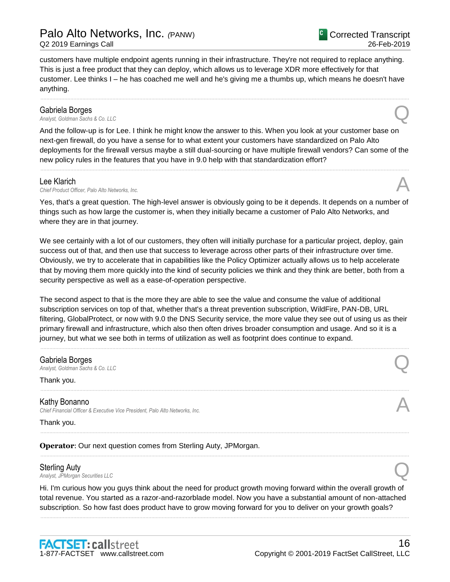customers have multiple endpoint agents running in their infrastructure. They're not required to replace anything. This is just a free product that they can deploy, which allows us to leverage XDR more effectively for that customer. Lee thinks I – he has coached me well and he's giving me a thumbs up, which means he doesn't have anything.

......................................................................................................................................................................................................................................................

**Gabriela Borges**<br>Analyst, Goldman Sachs & Co. LLC **Gabriela Borges**<br>Analyst, Goldman Sachs & Co. LLC

And the follow-up is for Lee. I think he might know the answer to this. When you look at your customer base on next-gen firewall, do you have a sense for to what extent your customers have standardized on Palo Alto deployments for the firewall versus maybe a still dual-sourcing or have multiple firewall vendors? Can some of the new policy rules in the features that you have in 9.0 help with that standardization effort?

......................................................................................................................................................................................................................................................

### Lee Klarich

Lee Klarich<br>Chief Product Officer, Palo Alto Networks, Inc.

Yes, that's a great question. The high-level answer is obviously going to be it depends. It depends on a number of things such as how large the customer is, when they initially became a customer of Palo Alto Networks, and where they are in that journey.

We see certainly with a lot of our customers, they often will initially purchase for a particular project, deploy, gain success out of that, and then use that success to leverage across other parts of their infrastructure over time. Obviously, we try to accelerate that in capabilities like the Policy Optimizer actually allows us to help accelerate that by moving them more quickly into the kind of security policies we think and they think are better, both from a security perspective as well as a ease-of-operation perspective.

The second aspect to that is the more they are able to see the value and consume the value of additional subscription services on top of that, whether that's a threat prevention subscription, WildFire, PAN-DB, URL filtering, GlobalProtect, or now with 9.0 the DNS Security service, the more value they see out of using us as their primary firewall and infrastructure, which also then often drives broader consumption and usage. And so it is a journey, but what we see both in terms of utilization as well as footprint does continue to expand.

......................................................................................................................................................................................................................................................

......................................................................................................................................................................................................................................................

......................................................................................................................................................................................................................................................

......................................................................................................................................................................................................................................................

### Gabriela Borges

**Gabriela Borges**<br>Analyst, Goldman Sachs & Co. LLC

### Thank you.

Kathy Bonanno *Chief Financial Officer & Executive Vice President, Palo Alto Networks, Inc.* A

Thank you.

**Operator**: Our next question comes from Sterling Auty, JPMorgan.

### Sterling Auty

**Sterling Auty**<br>Analyst, JPMorgan Securities LLC

Hi. I'm curious how you guys think about the need for product growth moving forward within the overall growth of total revenue. You started as a razor-and-razorblade model. Now you have a substantial amount of non-attached subscription. So how fast does product have to grow moving forward for you to deliver on your growth goals?

......................................................................................................................................................................................................................................................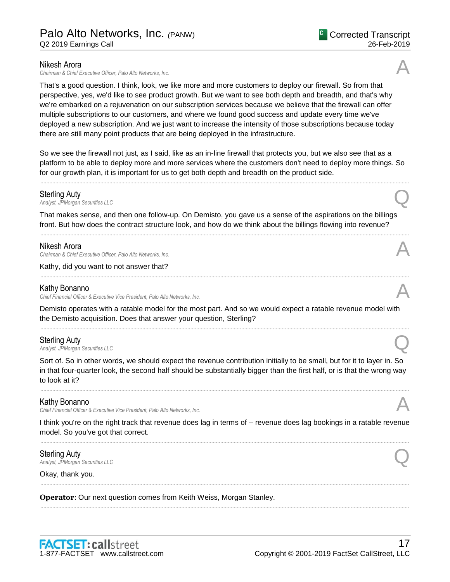### Nikesh Arora

*Chairman & Chief Executive Officer, Palo Alto Networks, Inc.* A

That's a good question. I think, look, we like more and more customers to deploy our firewall. So from that perspective, yes, we'd like to see product growth. But we want to see both depth and breadth, and that's why we're embarked on a rejuvenation on our subscription services because we believe that the firewall can offer multiple subscriptions to our customers, and where we found good success and update every time we've deployed a new subscription. And we just want to increase the intensity of those subscriptions because today there are still many point products that are being deployed in the infrastructure.

So we see the firewall not just, as I said, like as an in-line firewall that protects you, but we also see that as a platform to be able to deploy more and more services where the customers don't need to deploy more things. So for our growth plan, it is important for us to get both depth and breadth on the product side.

......................................................................................................................................................................................................................................................

**Sterling Auty**<br>Analyst, JPMorgan Securities LLC **Sterling Auty**<br>Analyst, JPMorgan Securities LLC

That makes sense, and then one follow-up. On Demisto, you gave us a sense of the aspirations on the billings front. But how does the contract structure look, and how do we think about the billings flowing into revenue?

......................................................................................................................................................................................................................................................

......................................................................................................................................................................................................................................................

### Nikesh Arora

*Chairman & Chief Executive Officer, Palo Alto Networks, Inc.* A

Kathy, did you want to not answer that?

### Kathy Bonanno

*Chief Financial Officer & Executive Vice President, Palo Alto Networks, Inc.* A

Demisto operates with a ratable model for the most part. And so we would expect a ratable revenue model with the Demisto acquisition. Does that answer your question, Sterling?

......................................................................................................................................................................................................................................................

**Sterling Auty**<br>Analyst, JPMorgan Securities LLC **Sterling Auty**<br>Analyst, JPMorgan Securities LLC

Sort of. So in other words, we should expect the revenue contribution initially to be small, but for it to layer in. So in that four-quarter look, the second half should be substantially bigger than the first half, or is that the wrong way to look at it?

......................................................................................................................................................................................................................................................

### Kathy Bonanno

*Chief Financial Officer & Executive Vice President, Palo Alto Networks, Inc.* A

I think you're on the right track that revenue does lag in terms of – revenue does lag bookings in a ratable revenue model. So you've got that correct. ......................................................................................................................................................................................................................................................

......................................................................................................................................................................................................................................................

......................................................................................................................................................................................................................................................

Sterling Auty **Sterling Auty**<br>Analyst, JPMorgan Securities LLC

Okay, thank you.

**Operator**: Our next question comes from Keith Weiss, Morgan Stanley.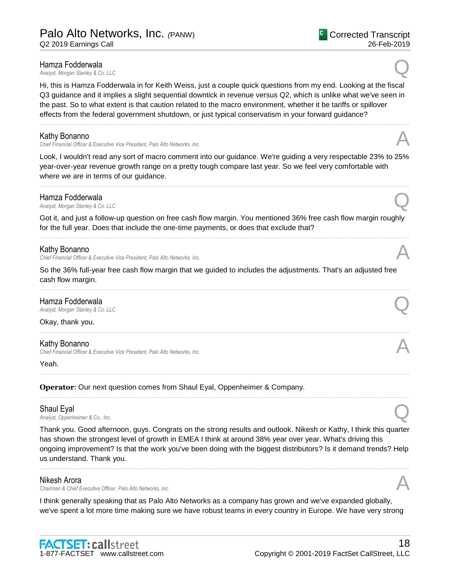### Hamza Fodderwala

*Analyst, Morgan Stanley & Co. LLC* Q

Hi, this is Hamza Fodderwala in for Keith Weiss, just a couple quick questions from my end. Looking at the fiscal Q3 guidance and it implies a slight sequential downtick in revenue versus Q2, which is unlike what we've seen in the past. So to what extent is that caution related to the macro environment, whether it be tariffs or spillover effects from the federal government shutdown, or just typical conservatism in your forward guidance?

......................................................................................................................................................................................................................................................

### Kathy Bonanno

*Chief Financial Officer & Executive Vice President, Palo Alto Networks, Inc.* A

Look, I wouldn't read any sort of macro comment into our guidance. We're guiding a very respectable 23% to 25% year-over-year revenue growth range on a pretty tough compare last year. So we feel very comfortable with where we are in terms of our guidance.

......................................................................................................................................................................................................................................................

### Hamza Fodderwala *Analyst, Morgan Stanley & Co. LLC*<br>*Analyst, Morgan Stanley & Co. LLC*

Got it, and just a follow-up question on free cash flow margin. You mentioned 36% free cash flow margin roughly for the full year. Does that include the one-time payments, or does that exclude that? ......................................................................................................................................................................................................................................................

### Kathy Bonanno

*Chief Financial Officer & Executive Vice President, Palo Alto Networks, Inc.* A

So the 36% full-year free cash flow margin that we guided to includes the adjustments. That's an adjusted free cash flow margin.

......................................................................................................................................................................................................................................................

......................................................................................................................................................................................................................................................

......................................................................................................................................................................................................................................................

......................................................................................................................................................................................................................................................

### Hamza Fodderwala *Analyst, Morgan Stanley & Co. LLC* Q

Okay, thank you.

### Kathy Bonanno

*Chief Financial Officer & Executive Vice President, Palo Alto Networks, Inc.* A

Yeah.

**Operator**: Our next question comes from Shaul Eyal, Oppenheimer & Company.

### Shaul Eyal

*Analyst, Oppenheimer & Co., Inc.* Q

Thank you. Good afternoon, guys. Congrats on the strong results and outlook. Nikesh or Kathy, I think this quarter has shown the strongest level of growth in EMEA I think at around 38% year over year. What's driving this ongoing improvement? Is that the work you've been doing with the biggest distributors? Is it demand trends? Help us understand. Thank you.

......................................................................................................................................................................................................................................................

### Nikesh Arora

*Chairman & Chief Executive Officer, Palo Alto Networks, Inc.* A

I think generally speaking that as Palo Alto Networks as a company has grown and we've expanded globally, we've spent a lot more time making sure we have robust teams in every country in Europe. We have very strong

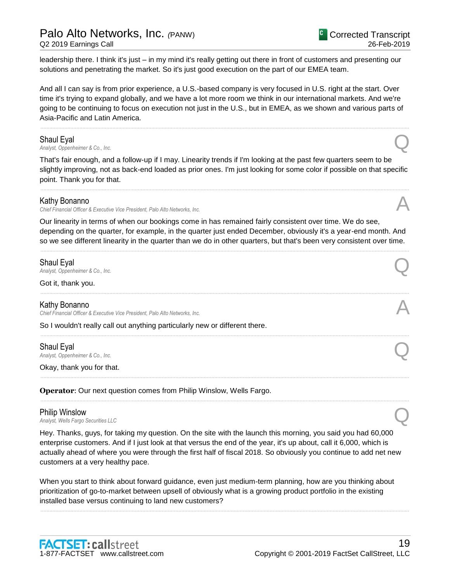leadership there. I think it's just – in my mind it's really getting out there in front of customers and presenting our solutions and penetrating the market. So it's just good execution on the part of our EMEA team.

And all I can say is from prior experience, a U.S.-based company is very focused in U.S. right at the start. Over time it's trying to expand globally, and we have a lot more room we think in our international markets. And we're going to be continuing to focus on execution not just in the U.S., but in EMEA, as we shown and various parts of Asia-Pacific and Latin America.

......................................................................................................................................................................................................................................................

### Shaul Eyal

*Analyst, Oppenheimer & Co., Inc.* Q

That's fair enough, and a follow-up if I may. Linearity trends if I'm looking at the past few quarters seem to be slightly improving, not as back-end loaded as prior ones. I'm just looking for some color if possible on that specific point. Thank you for that.

......................................................................................................................................................................................................................................................

### Kathy Bonanno

*Chief Financial Officer & Executive Vice President, Palo Alto Networks, Inc.* A

Our linearity in terms of when our bookings come in has remained fairly consistent over time. We do see, depending on the quarter, for example, in the quarter just ended December, obviously it's a year-end month. And so we see different linearity in the quarter than we do in other quarters, but that's been very consistent over time.

......................................................................................................................................................................................................................................................

......................................................................................................................................................................................................................................................

......................................................................................................................................................................................................................................................

......................................................................................................................................................................................................................................................

......................................................................................................................................................................................................................................................

### Shaul Eyal

*Analyst, Oppenheimer & Co., Inc.* Q

Got it, thank you.

### Kathy Bonanno

*Chief Financial Officer & Executive Vice President, Palo Alto Networks, Inc.* A

So I wouldn't really call out anything particularly new or different there.

### Shaul Eyal *Analyst, Oppenheimer & Co., Inc.* Q

Okay, thank you for that.

**Operator**: Our next question comes from Philip Winslow, Wells Fargo.

### Philip Winslow

*Analyst, Wells Fargo Securities LLC* Q

Hey. Thanks, guys, for taking my question. On the site with the launch this morning, you said you had 60,000 enterprise customers. And if I just look at that versus the end of the year, it's up about, call it 6,000, which is actually ahead of where you were through the first half of fiscal 2018. So obviously you continue to add net new customers at a very healthy pace.

When you start to think about forward guidance, even just medium-term planning, how are you thinking about prioritization of go-to-market between upsell of obviously what is a growing product portfolio in the existing installed base versus continuing to land new customers?

......................................................................................................................................................................................................................................................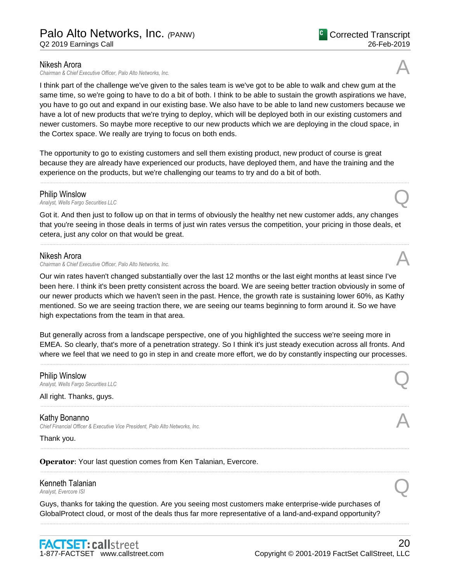### Nikesh Arora

*Chairman & Chief Executive Officer, Palo Alto Networks, Inc.* A

I think part of the challenge we've given to the sales team is we've got to be able to walk and chew gum at the same time, so we're going to have to do a bit of both. I think to be able to sustain the growth aspirations we have, you have to go out and expand in our existing base. We also have to be able to land new customers because we have a lot of new products that we're trying to deploy, which will be deployed both in our existing customers and newer customers. So maybe more receptive to our new products which we are deploying in the cloud space, in the Cortex space. We really are trying to focus on both ends.

The opportunity to go to existing customers and sell them existing product, new product of course is great because they are already have experienced our products, have deployed them, and have the training and the experience on the products, but we're challenging our teams to try and do a bit of both.

......................................................................................................................................................................................................................................................

### Philip Winslow

*Analyst, Wells Fargo Securities LLC* Q

Got it. And then just to follow up on that in terms of obviously the healthy net new customer adds, any changes that you're seeing in those deals in terms of just win rates versus the competition, your pricing in those deals, et cetera, just any color on that would be great.

......................................................................................................................................................................................................................................................

### Nikesh Arora

*Chairman & Chief Executive Officer, Palo Alto Networks, Inc.* A

Our win rates haven't changed substantially over the last 12 months or the last eight months at least since I've been here. I think it's been pretty consistent across the board. We are seeing better traction obviously in some of our newer products which we haven't seen in the past. Hence, the growth rate is sustaining lower 60%, as Kathy mentioned. So we are seeing traction there, we are seeing our teams beginning to form around it. So we have high expectations from the team in that area.

But generally across from a landscape perspective, one of you highlighted the success we're seeing more in EMEA. So clearly, that's more of a penetration strategy. So I think it's just steady execution across all fronts. And where we feel that we need to go in step in and create more effort, we do by constantly inspecting our processes.

......................................................................................................................................................................................................................................................

......................................................................................................................................................................................................................................................

......................................................................................................................................................................................................................................................

......................................................................................................................................................................................................................................................

......................................................................................................................................................................................................................................................

### **Philip Winslow**<br>Analyst, Wells Fargo Securities LLC *Analyst, Wells Fargo Securities LLC* Q

All right. Thanks, guys.

Kathy Bonanno *Chief Financial Officer & Executive Vice President, Palo Alto Networks, Inc.* A

Thank you.

**Operator**: Your last question comes from Ken Talanian, Evercore.

### **Kenneth Talanian**<br>Analyst, Evercore ISI *Analyst, Evercore ISI* Q<br>Analyst, Evercore ISI

Guys, thanks for taking the question. Are you seeing most customers make enterprise-wide purchases of GlobalProtect cloud, or most of the deals thus far more representative of a land-and-expand opportunity?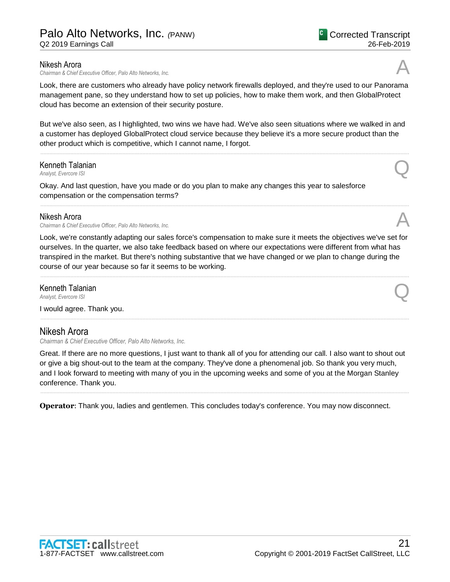*Chairman & Chief Executive Officer, Palo Alto Networks, Inc.* A

Look, there are customers who already have policy network firewalls deployed, and they're used to our Panorama management pane, so they understand how to set up policies, how to make them work, and then GlobalProtect cloud has become an extension of their security posture.

But we've also seen, as I highlighted, two wins we have had. We've also seen situations where we walked in and a customer has deployed GlobalProtect cloud service because they believe it's a more secure product than the other product which is competitive, which I cannot name, I forgot.

......................................................................................................................................................................................................................................................

### **Kenneth Talanian**<br>Analyst, Evercore ISI *Analyst, Evercore ISI* Q<br>Analyst, Evercore ISI

Okay. And last question, have you made or do you plan to make any changes this year to salesforce compensation or the compensation terms?

### Nikesh Arora

*Chairman & Chief Executive Officer, Palo Alto Networks, Inc.* A

Look, we're constantly adapting our sales force's compensation to make sure it meets the objectives we've set for ourselves. In the quarter, we also take feedback based on where our expectations were different from what has transpired in the market. But there's nothing substantive that we have changed or we plan to change during the course of our year because so far it seems to be working.

......................................................................................................................................................................................................................................................

......................................................................................................................................................................................................................................................

Kenneth Talanian *Analyst, Evercore ISI*<br>Analyst, Evercore ISI

I would agree. Thank you.

### Nikesh Arora

*Chairman & Chief Executive Officer, Palo Alto Networks, Inc.*

Great. If there are no more questions, I just want to thank all of you for attending our call. I also want to shout out or give a big shout-out to the team at the company. They've done a phenomenal job. So thank you very much, and I look forward to meeting with many of you in the upcoming weeks and some of you at the Morgan Stanley conference. Thank you.

......................................................................................................................................................................................................................................................

**Operator:** Thank you, ladies and gentlemen. This concludes today's conference. You may now disconnect.